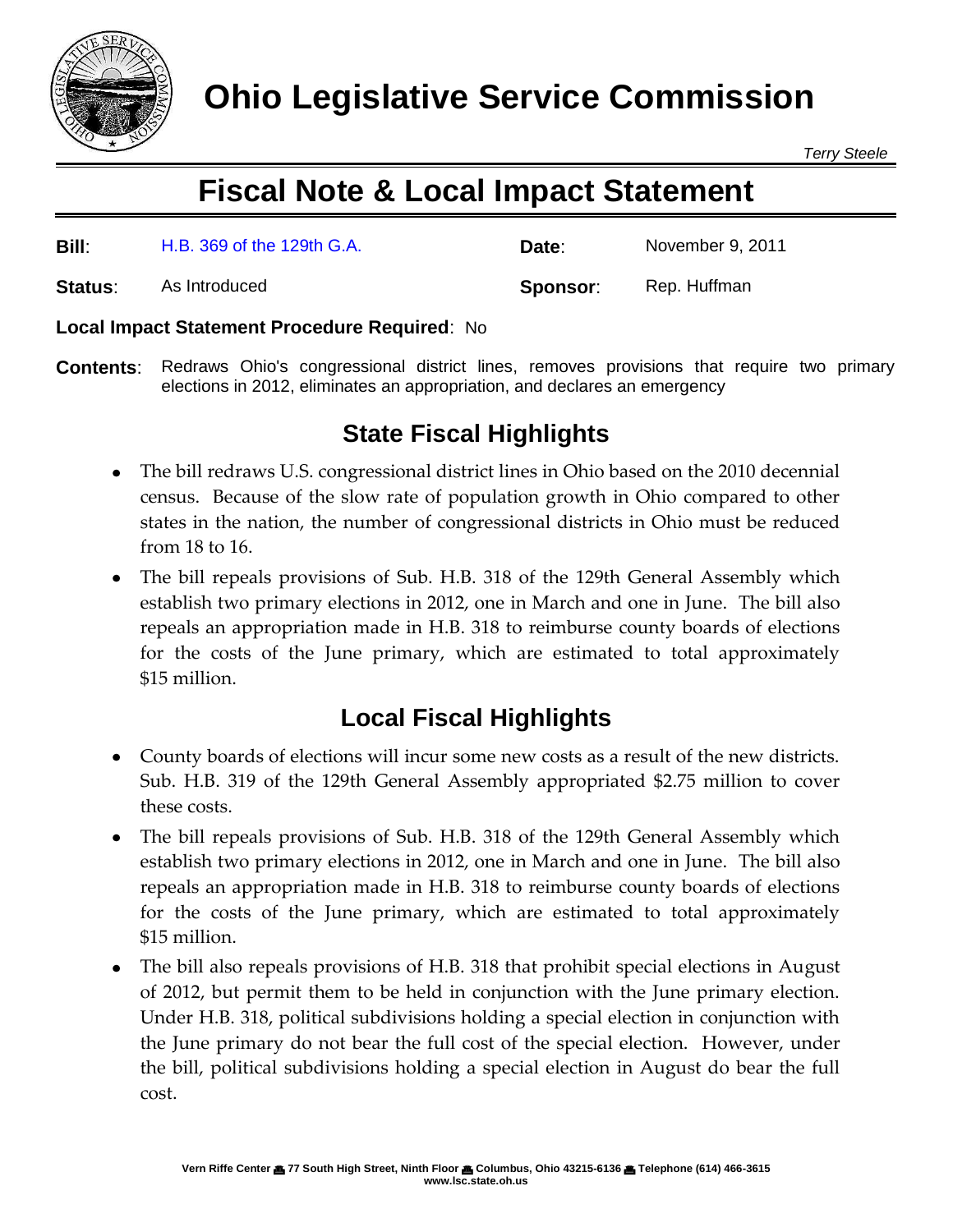

*Terry Steele*

# **Fiscal Note & Local Impact Statement**

| Bill:   | H.B. 369 of the 129th G.A. | Date:    | November 9, 2011 |
|---------|----------------------------|----------|------------------|
| Status: | As Introduced              | Sponsor: | Rep. Huffman     |

## **Local Impact Statement Procedure Required**: No

**Contents**: Redraws Ohio's congressional district lines, removes provisions that require two primary elections in 2012, eliminates an appropriation, and declares an emergency

# **State Fiscal Highlights**

- The bill redraws U.S. congressional district lines in Ohio based on the 2010 decennial census. Because of the slow rate of population growth in Ohio compared to other states in the nation, the number of congressional districts in Ohio must be reduced from 18 to 16.
- The bill repeals provisions of Sub. H.B. 318 of the 129th General Assembly which establish two primary elections in 2012, one in March and one in June. The bill also repeals an appropriation made in H.B. 318 to reimburse county boards of elections for the costs of the June primary, which are estimated to total approximately \$15 million.

## **Local Fiscal Highlights**

- County boards of elections will incur some new costs as a result of the new districts. Sub. H.B. 319 of the 129th General Assembly appropriated \$2.75 million to cover these costs.
- The bill repeals provisions of Sub. H.B. 318 of the 129th General Assembly which establish two primary elections in 2012, one in March and one in June. The bill also repeals an appropriation made in H.B. 318 to reimburse county boards of elections for the costs of the June primary, which are estimated to total approximately \$15 million.
- The bill also repeals provisions of H.B. 318 that prohibit special elections in August of 2012, but permit them to be held in conjunction with the June primary election. Under H.B. 318, political subdivisions holding a special election in conjunction with the June primary do not bear the full cost of the special election. However, under the bill, political subdivisions holding a special election in August do bear the full cost.